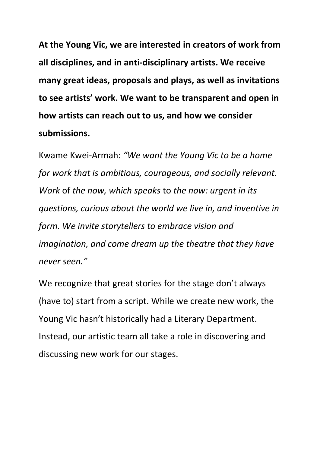At the Young Vic, we are interested in creators of work from all disciplines, and in anti-disciplinary artists. We receive many great ideas, proposals and plays, as well as invitations to see artists' work. We want to be transparent and open in how artists can reach out to us, and how we consider submissions.

Kwame Kwei-Armah: "We want the Young Vic to be a home for work that is ambitious, courageous, and socially relevant. Work of the now, which speaks to the now: urgent in its questions, curious about the world we live in, and inventive in form. We invite storytellers to embrace vision and imagination, and come dream up the theatre that they have never seen."

We recognize that great stories for the stage don't always (have to) start from a script. While we create new work, the Young Vic hasn't historically had a Literary Department. Instead, our artistic team all take a role in discovering and discussing new work for our stages.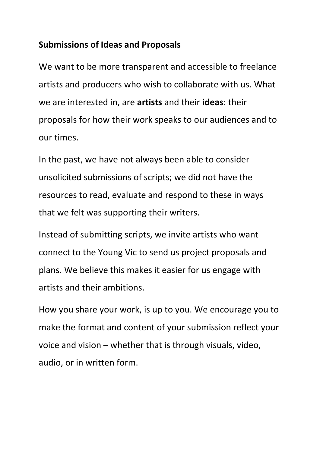## Submissions of Ideas and Proposals

We want to be more transparent and accessible to freelance artists and producers who wish to collaborate with us. What we are interested in, are artists and their ideas: their proposals for how their work speaks to our audiences and to our times.

In the past, we have not always been able to consider unsolicited submissions of scripts; we did not have the resources to read, evaluate and respond to these in ways that we felt was supporting their writers.

Instead of submitting scripts, we invite artists who want connect to the Young Vic to send us project proposals and plans. We believe this makes it easier for us engage with artists and their ambitions.

How you share your work, is up to you. We encourage you to make the format and content of your submission reflect your voice and vision – whether that is through visuals, video, audio, or in written form.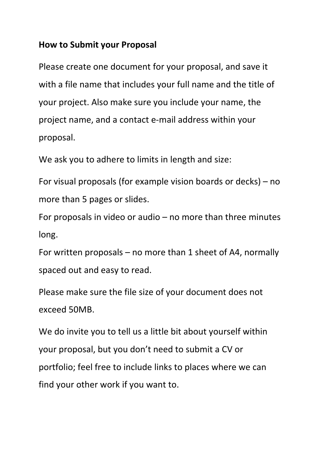## How to Submit your Proposal

Please create one document for your proposal, and save it with a file name that includes your full name and the title of your project. Also make sure you include your name, the project name, and a contact e-mail address within your proposal.

We ask you to adhere to limits in length and size:

For visual proposals (for example vision boards or decks) – no more than 5 pages or slides.

For proposals in video or audio – no more than three minutes long.

For written proposals – no more than 1 sheet of A4, normally spaced out and easy to read.

Please make sure the file size of your document does not exceed 50MB.

We do invite you to tell us a little bit about yourself within your proposal, but you don't need to submit a CV or portfolio; feel free to include links to places where we can find your other work if you want to.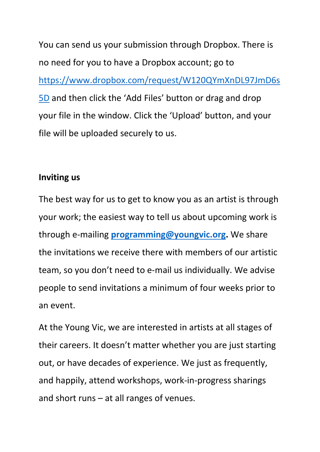You can send us your submission through Dropbox. There is no need for you to have a Dropbox account; go to https://www.dropbox.com/request/W120QYmXnDL97JmD6s 5D and then click the 'Add Files' button or drag and drop your file in the window. Click the 'Upload' button, and your file will be uploaded securely to us.

## Inviting us

The best way for us to get to know you as an artist is through your work; the easiest way to tell us about upcoming work is through e-mailing **programming@youngvic.org.** We share the invitations we receive there with members of our artistic team, so you don't need to e-mail us individually. We advise people to send invitations a minimum of four weeks prior to an event.

At the Young Vic, we are interested in artists at all stages of their careers. It doesn't matter whether you are just starting out, or have decades of experience. We just as frequently, and happily, attend workshops, work-in-progress sharings and short runs – at all ranges of venues.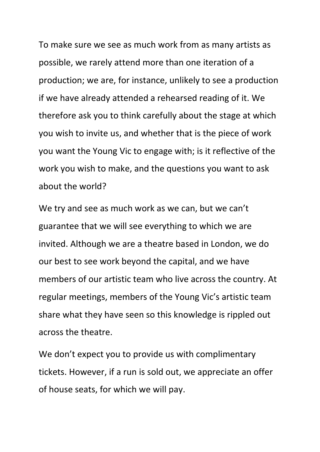To make sure we see as much work from as many artists as possible, we rarely attend more than one iteration of a production; we are, for instance, unlikely to see a production if we have already attended a rehearsed reading of it. We therefore ask you to think carefully about the stage at which you wish to invite us, and whether that is the piece of work you want the Young Vic to engage with; is it reflective of the work you wish to make, and the questions you want to ask about the world?

We try and see as much work as we can, but we can't guarantee that we will see everything to which we are invited. Although we are a theatre based in London, we do our best to see work beyond the capital, and we have members of our artistic team who live across the country. At regular meetings, members of the Young Vic's artistic team share what they have seen so this knowledge is rippled out across the theatre.

We don't expect you to provide us with complimentary tickets. However, if a run is sold out, we appreciate an offer of house seats, for which we will pay.